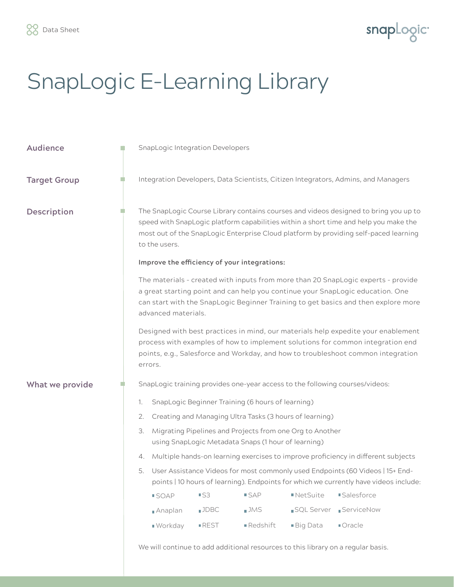

## SnapLogic E-Learning Library

| <b>Audience</b>     | in. | <b>SnapLogic Integration Developers</b>                                                                                                                                                                                                                                          |                                                                                                                                                                                                                                                                                       |                     |          |            |                   |  |
|---------------------|-----|----------------------------------------------------------------------------------------------------------------------------------------------------------------------------------------------------------------------------------------------------------------------------------|---------------------------------------------------------------------------------------------------------------------------------------------------------------------------------------------------------------------------------------------------------------------------------------|---------------------|----------|------------|-------------------|--|
| <b>Target Group</b> |     | Integration Developers, Data Scientists, Citizen Integrators, Admins, and Managers                                                                                                                                                                                               |                                                                                                                                                                                                                                                                                       |                     |          |            |                   |  |
| Description         |     |                                                                                                                                                                                                                                                                                  | The SnapLogic Course Library contains courses and videos designed to bring you up to<br>speed with SnapLogic platform capabilities within a short time and help you make the<br>most out of the SnapLogic Enterprise Cloud platform by providing self-paced learning<br>to the users. |                     |          |            |                   |  |
|                     |     | Improve the efficiency of your integrations:                                                                                                                                                                                                                                     |                                                                                                                                                                                                                                                                                       |                     |          |            |                   |  |
|                     |     | The materials - created with inputs from more than 20 SnapLogic experts - provide<br>a great starting point and can help you continue your SnapLogic education. One<br>can start with the SnapLogic Beginner Training to get basics and then explore more<br>advanced materials. |                                                                                                                                                                                                                                                                                       |                     |          |            |                   |  |
|                     |     | Designed with best practices in mind, our materials help expedite your enablement<br>process with examples of how to implement solutions for common integration end<br>points, e.g., Salesforce and Workday, and how to troubleshoot common integration<br>errors.               |                                                                                                                                                                                                                                                                                       |                     |          |            |                   |  |
| What we provide     |     | SnapLogic training provides one-year access to the following courses/videos:                                                                                                                                                                                                     |                                                                                                                                                                                                                                                                                       |                     |          |            |                   |  |
|                     |     | SnapLogic Beginner Training (6 hours of learning)<br>1.                                                                                                                                                                                                                          |                                                                                                                                                                                                                                                                                       |                     |          |            |                   |  |
|                     |     | 2.                                                                                                                                                                                                                                                                               | Creating and Managing Ultra Tasks (3 hours of learning)                                                                                                                                                                                                                               |                     |          |            |                   |  |
|                     |     | Migrating Pipelines and Projects from one Org to Another<br>3.<br>using SnapLogic Metadata Snaps (1 hour of learning)                                                                                                                                                            |                                                                                                                                                                                                                                                                                       |                     |          |            |                   |  |
|                     |     | Multiple hands-on learning exercises to improve proficiency in different subjects<br>4.                                                                                                                                                                                          |                                                                                                                                                                                                                                                                                       |                     |          |            |                   |  |
|                     |     | User Assistance Videos for most commonly used Endpoints (60 Videos   15+ End-<br>5.<br>points   10 hours of learning). Endpoints for which we currently have videos include:                                                                                                     |                                                                                                                                                                                                                                                                                       |                     |          |            |                   |  |
|                     |     |                                                                                                                                                                                                                                                                                  | <b>SOAP</b>                                                                                                                                                                                                                                                                           | ■S3                 | ■ SAP    | ■NetSuite  | <b>Salesforce</b> |  |
|                     |     |                                                                                                                                                                                                                                                                                  | Anaplan                                                                                                                                                                                                                                                                               | JDBC                | ∎JMS     | SQL Server | ServiceNow        |  |
|                     |     |                                                                                                                                                                                                                                                                                  | ■ Workday                                                                                                                                                                                                                                                                             | $\blacksquare$ REST | Redshift | Big Data   | ■Oracle           |  |
|                     |     | We will continue to add additional resources to this library on a regular basis.                                                                                                                                                                                                 |                                                                                                                                                                                                                                                                                       |                     |          |            |                   |  |